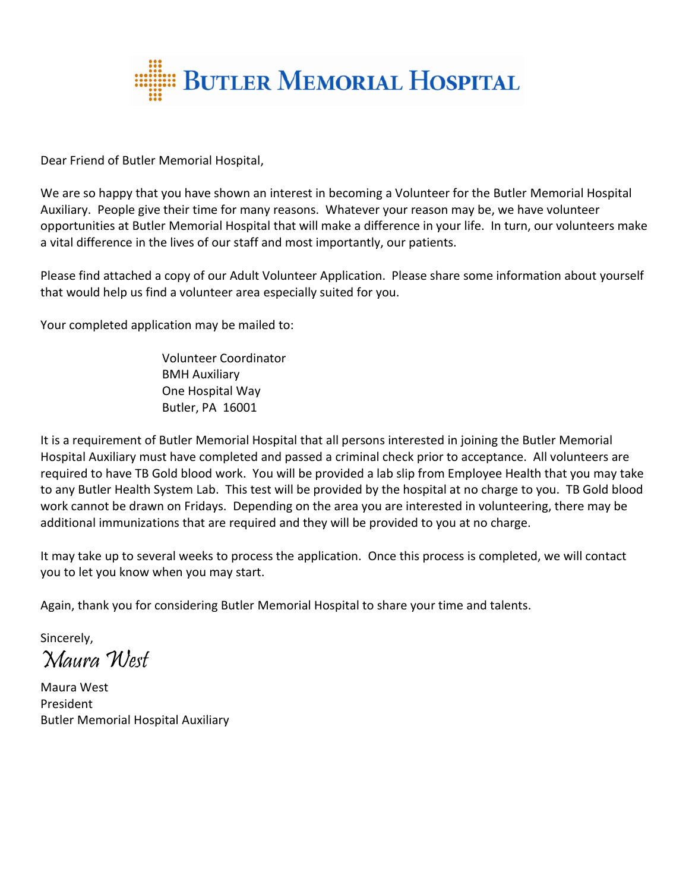

Dear Friend of Butler Memorial Hospital,

We are so happy that you have shown an interest in becoming a Volunteer for the Butler Memorial Hospital Auxiliary. People give their time for many reasons. Whatever your reason may be, we have volunteer opportunities at Butler Memorial Hospital that will make a difference in your life. In turn, our volunteers make a vital difference in the lives of our staff and most importantly, our patients.

Please find attached a copy of our Adult Volunteer Application. Please share some information about yourself that would help us find a volunteer area especially suited for you.

Your completed application may be mailed to:

Volunteer Coordinator BMH Auxiliary One Hospital Way Butler, PA 16001

It is a requirement of Butler Memorial Hospital that all persons interested in joining the Butler Memorial Hospital Auxiliary must have completed and passed a criminal check prior to acceptance. All volunteers are required to have TB Gold blood work. You will be provided a lab slip from Employee Health that you may take to any Butler Health System Lab. This test will be provided by the hospital at no charge to you. TB Gold blood work cannot be drawn on Fridays. Depending on the area you are interested in volunteering, there may be additional immunizations that are required and they will be provided to you at no charge.

It may take up to several weeks to process the application. Once this process is completed, we will contact you to let you know when you may start.

Again, thank you for considering Butler Memorial Hospital to share your time and talents.

Sincerely, Maura West

Maura West President Butler Memorial Hospital Auxiliary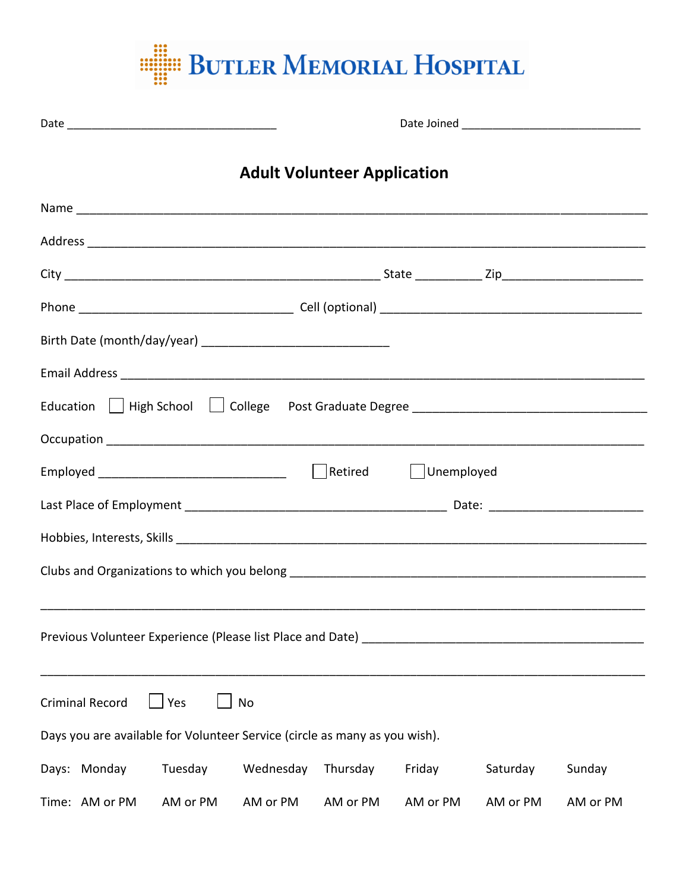

|                                                                            |           | <b>Adult Volunteer Application</b> |            |          |          |
|----------------------------------------------------------------------------|-----------|------------------------------------|------------|----------|----------|
|                                                                            |           |                                    |            |          |          |
|                                                                            |           |                                    |            |          |          |
|                                                                            |           |                                    |            |          |          |
|                                                                            |           |                                    |            |          |          |
|                                                                            |           |                                    |            |          |          |
|                                                                            |           |                                    |            |          |          |
|                                                                            |           |                                    |            |          |          |
|                                                                            |           |                                    |            |          |          |
|                                                                            |           |                                    | Unemployed |          |          |
|                                                                            |           |                                    |            |          |          |
|                                                                            |           |                                    |            |          |          |
|                                                                            |           |                                    |            |          |          |
|                                                                            |           |                                    |            |          |          |
| Previous Volunteer Experience (Please list Place and Date)                 |           |                                    |            |          |          |
|                                                                            |           |                                    |            |          |          |
| $\Box$ Yes<br><b>Criminal Record</b><br>No                                 |           |                                    |            |          |          |
| Days you are available for Volunteer Service (circle as many as you wish). |           |                                    |            |          |          |
| Days: Monday<br>Tuesday                                                    | Wednesday | Thursday                           | Friday     | Saturday | Sunday   |
| Time: AM or PM<br>AM or PM                                                 | AM or PM  | AM or PM                           | AM or PM   | AM or PM | AM or PM |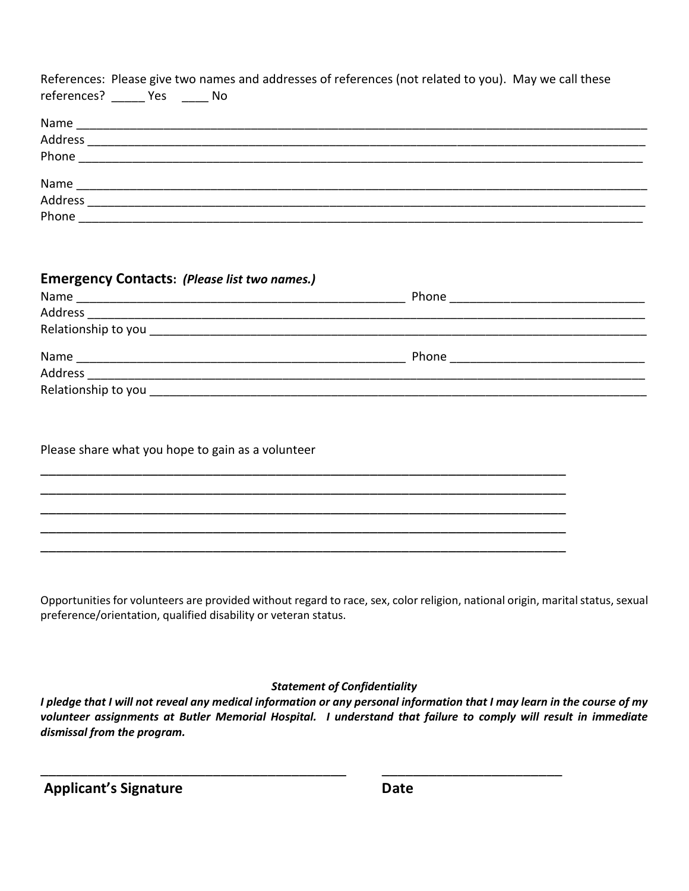| References: Please give two names and addresses of references (not related to you). May we call these<br>references? Yes No |  |
|-----------------------------------------------------------------------------------------------------------------------------|--|
|                                                                                                                             |  |
|                                                                                                                             |  |
|                                                                                                                             |  |
|                                                                                                                             |  |
|                                                                                                                             |  |
| Phone <u>______</u>                                                                                                         |  |

| <b>Emergency Contacts: (Please list two names.)</b> |                                        |
|-----------------------------------------------------|----------------------------------------|
|                                                     |                                        |
|                                                     |                                        |
|                                                     |                                        |
|                                                     | Phone <u>_________________________</u> |
|                                                     |                                        |
|                                                     |                                        |

\_\_\_\_\_\_\_\_\_\_\_\_\_\_\_\_\_\_\_\_\_\_\_\_\_\_\_\_\_\_\_\_\_\_\_\_\_\_\_\_\_\_\_\_\_\_\_\_\_\_\_\_\_\_\_\_\_\_\_\_\_\_\_\_\_\_\_ \_\_\_\_\_\_\_\_\_\_\_\_\_\_\_\_\_\_\_\_\_\_\_\_\_\_\_\_\_\_\_\_\_\_\_\_\_\_\_\_\_\_\_\_\_\_\_\_\_\_\_\_\_\_\_\_\_\_\_\_\_\_\_\_\_\_\_ \_\_\_\_\_\_\_\_\_\_\_\_\_\_\_\_\_\_\_\_\_\_\_\_\_\_\_\_\_\_\_\_\_\_\_\_\_\_\_\_\_\_\_\_\_\_\_\_\_\_\_\_\_\_\_\_\_\_\_\_\_\_\_\_\_\_\_ \_\_\_\_\_\_\_\_\_\_\_\_\_\_\_\_\_\_\_\_\_\_\_\_\_\_\_\_\_\_\_\_\_\_\_\_\_\_\_\_\_\_\_\_\_\_\_\_\_\_\_\_\_\_\_\_\_\_\_\_\_\_\_\_\_\_\_ \_\_\_\_\_\_\_\_\_\_\_\_\_\_\_\_\_\_\_\_\_\_\_\_\_\_\_\_\_\_\_\_\_\_\_\_\_\_\_\_\_\_\_\_\_\_\_\_\_\_\_\_\_\_\_\_\_\_\_\_\_\_\_\_\_\_\_

Please share what you hope to gain as a volunteer

Opportunities for volunteers are provided without regard to race, sex, color religion, national origin, marital status, sexual preference/orientation, qualified disability or veteran status.

## *Statement of Confidentiality*

*I pledge that I will not reveal any medical information or any personal information that I may learn in the course of my volunteer assignments at Butler Memorial Hospital. I understand that failure to comply will result in immediate dismissal from the program.*

\_\_\_\_\_\_\_\_\_\_\_\_\_\_\_\_\_\_\_\_\_\_\_\_\_\_\_\_\_\_\_\_\_\_\_\_\_\_\_ \_\_\_\_\_\_\_\_\_\_\_\_\_\_\_\_\_\_\_\_\_\_\_

| <b>Applicant's Signature</b> | Date |
|------------------------------|------|
|                              |      |